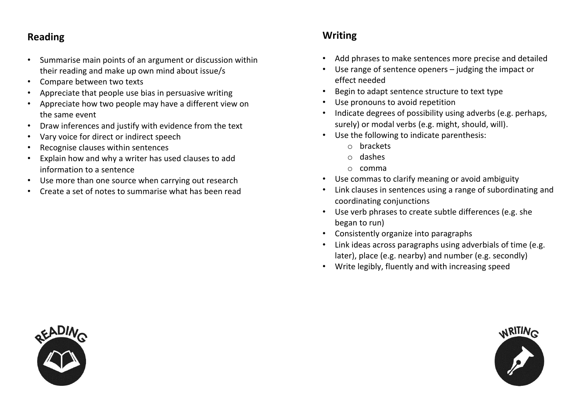## **Reading**

- Summarise main points of an argument or discussion within their reading and make up own mind about issue/s
- Compare between two texts
- Appreciate that people use bias in persuasive writing
- Appreciate how two people may have a different view on the same event
- Draw inferences and justify with evidence from the text
- Vary voice for direct or indirect speech
- Recognise clauses within sentences
- Explain how and why a writer has used clauses to add information to a sentence
- Use more than one source when carrying out research
- Create a set of notes to summarise what has been read

## **Writing**

- Add phrases to make sentences more precise and detailed
- Use range of sentence openers judging the impact or effect needed
- Begin to adapt sentence structure to text type
- Use pronouns to avoid repetition
- Indicate degrees of possibility using adverbs (e.g. perhaps, surely) or modal verbs (e.g. might, should, will).
- Use the following to indicate parenthesis:
	- o brackets
	- o dashes
	- o comma
- Use commas to clarify meaning or avoid ambiguity
- Link clauses in sentences using a range of subordinating and coordinating conjunctions
- Use verb phrases to create subtle differences (e.g. she began to run)
- Consistently organize into paragraphs
- Link ideas across paragraphs using adverbials of time (e.g. later), place (e.g. nearby) and number (e.g. secondly)
- Write legibly, fluently and with increasing speed